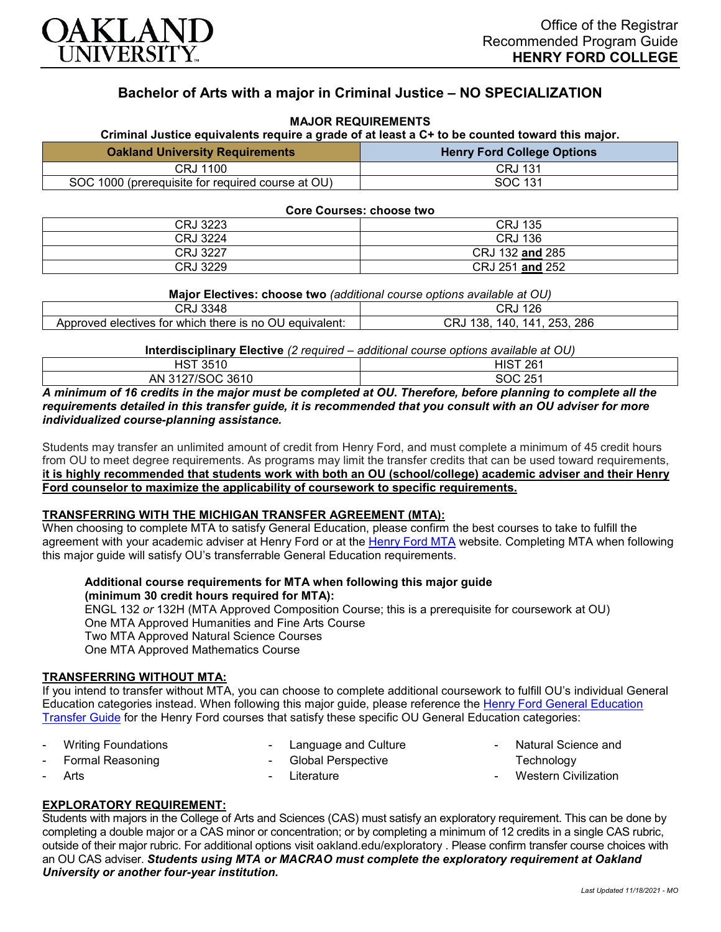

# **Bachelor of Arts with a major in Criminal Justice – NO SPECIALIZATION**

### **MAJOR REQUIREMENTS**

**Criminal Justice equivalents require a grade of at least a C+ to be counted toward this major.**

| <b>Oakland University Requirements</b>            | <b>Henry Ford College Options</b> |
|---------------------------------------------------|-----------------------------------|
| CRJ 1100                                          | <b>CRJ 131</b>                    |
| SOC 1000 (prerequisite for required course at OU) | SOC 131                           |

**Core Courses: choose two**

| CRJ 3223 | J 135<br>CRJ    |
|----------|-----------------|
| CRJ 3224 | <b>CRJ 136</b>  |
| CRJ 3227 | CRJ 132 and 285 |
| CRJ 3229 | CRJ 251 and 252 |

| Major Electives: choose two (additional course options available at OU) |  |  |
|-------------------------------------------------------------------------|--|--|
|-------------------------------------------------------------------------|--|--|

| CRJ 3348                                                | 126<br>CRJ                  |
|---------------------------------------------------------|-----------------------------|
| Approved electives for which there is no OU equivalent: | CRJ 138, 140, 141, 253, 286 |

**Interdisciplinary Elective** *(2 required – additional course options available at OU)*

| 'ST 3510       | ''ST 261<br>ч۱э. |
|----------------|------------------|
| 13127/SOC 3610 | SOC 251          |
| AN             | ້                |

*A minimum of 16 credits in the major must be completed at OU. Therefore, before planning to complete all the requirements detailed in this transfer guide, it is recommended that you consult with an OU adviser for more individualized course-planning assistance.*

Students may transfer an unlimited amount of credit from Henry Ford, and must complete a minimum of 45 credit hours from OU to meet degree requirements. As programs may limit the transfer credits that can be used toward requirements, **it is highly recommended that students work with both an OU (school/college) academic adviser and their Henry Ford counselor to maximize the applicability of coursework to specific requirements.**

#### **TRANSFERRING WITH THE MICHIGAN TRANSFER AGREEMENT (MTA):**

When choosing to complete MTA to satisfy General Education, please confirm the best courses to take to fulfill the agreement with your academic adviser at Henry Ford or at the [Henry Ford MTA](https://catalog.hfcc.edu/degrees/gen-ed) website. Completing MTA when following this major guide will satisfy OU's transferrable General Education requirements.

## **Additional course requirements for MTA when following this major guide**

**(minimum 30 credit hours required for MTA):** ENGL 132 *or* 132H (MTA Approved Composition Course; this is a prerequisite for coursework at OU) One MTA Approved Humanities and Fine Arts Course

Two MTA Approved Natural Science Courses

One MTA Approved Mathematics Course

### **TRANSFERRING WITHOUT MTA:**

If you intend to transfer without MTA, you can choose to complete additional coursework to fulfill OU's individual General Education categories instead. When following this major guide, please reference the [Henry Ford General Education](https://www.oakland.edu/Assets/Oakland/program-guides/henry-ford-college/university-general-education-requirements/Henry%20Ford%20Gen%20Ed.pdf)  [Transfer Guide](https://www.oakland.edu/Assets/Oakland/program-guides/henry-ford-college/university-general-education-requirements/Henry%20Ford%20Gen%20Ed.pdf) for the Henry Ford courses that satisfy these specific OU General Education categories:

**Writing Foundations** 

Language and Culture

Formal Reasoning

**Arts** 

- Global Perspective **Literature** 

- Natural Science and **Technology**
- **Western Civilization**

## **EXPLORATORY REQUIREMENT:**

Students with majors in the College of Arts and Sciences (CAS) must satisfy an exploratory requirement. This can be done by completing a double major or a CAS minor or concentration; or by completing a minimum of 12 credits in a single CAS rubric, outside of their major rubric. For additional options visit [oakland.edu/exploratory](http://www.oakland.edu/exploratory) . Please confirm transfer course choices with an OU CAS adviser. *Students using MTA or MACRAO must complete the exploratory requirement at Oakland University or another four-year institution.*